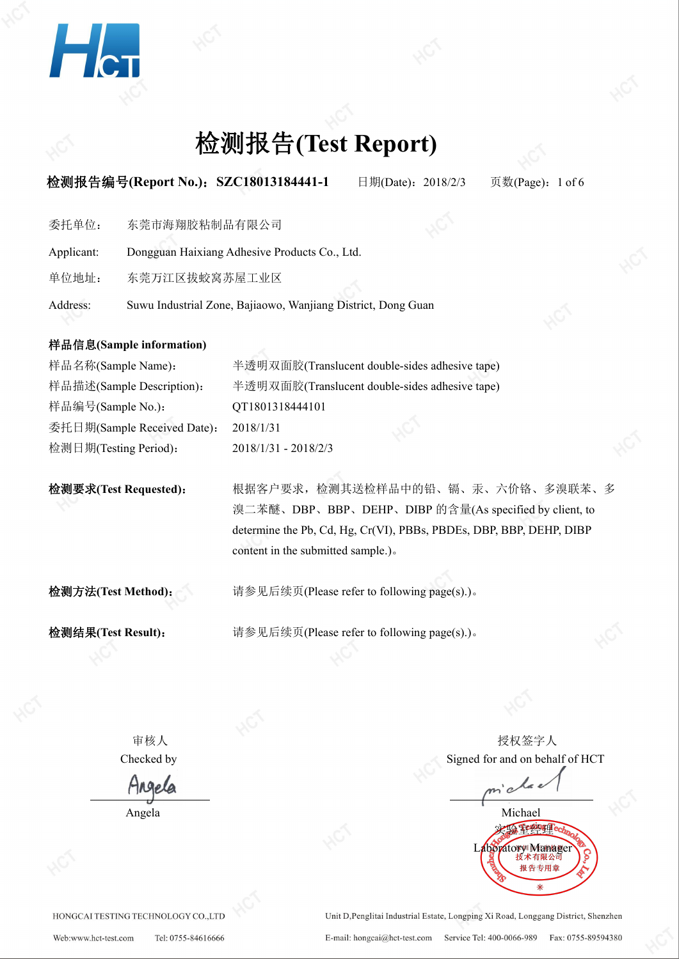

### **检测报告编号(Report No.): SZC18013184441-1** 日期(Date): 2018/2/3 页数(Page): 1 of 6

委托单位: 东莞市海翔胶粘制品有限公司

Applicant: Dongguan Haixiang Adhesive Products Co., Ltd.

单位地址: 东莞万江区拔蛟窝苏屋工业区

Address: Suwu Industrial Zone, Bajiaowo, Wanjiang District, Dong Guan

### 样品信息**(Sample information)**

检测要求**(Test Requested)**: 根据客户要求,检测其送检样品中的铅、镉、汞、六价铬、多溴联苯、多 溴二苯醚、DBP、BBP、DEHP、DIBP 的含量(As specified by client, to determine the Pb, Cd, Hg, Cr(VI), PBBs, PBDEs, DBP, BBP, DEHP, DIBP content in the submitted sample.)。

检测方法**(Test Method)**: 请参见后续页(Please refer to following page(s).)。

检测结果**(Test Result)**: 请参见后续页(Please refer to following page(s).)。

审核人 いっちょう しゅうしゃ しゅうしゃ おおし おおし 授权签字人 しゅうしょう しゅうしょう Checked by Signed for and on behalf of HCT

Angela Michael 实验室经理 Laboratory Manage 报告专用

HONGCAI TESTING TECHNOLOGY CO.,LTD

Unit D, Penglitai Industrial Estate, Longping Xi Road, Longgang District, Shenzhen E-mail: hongcai@hct-test.com Service Tel: 400-0066-989 Fax: 0755-89594380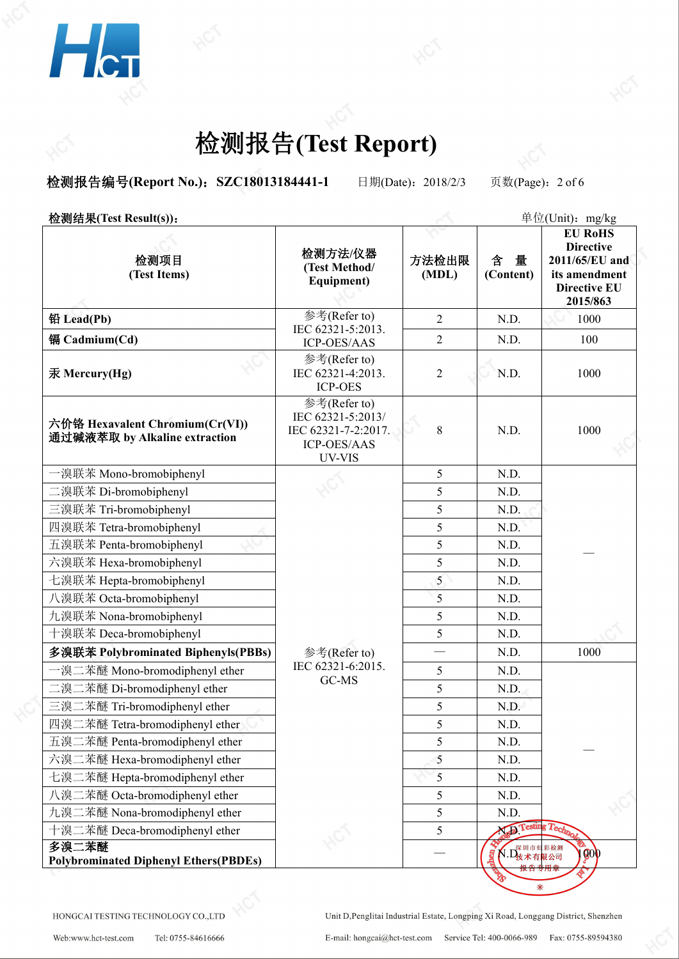

**检测报告编号(Report No.): SZC18013184441-1** 日期(Date): 2018/2/3 页数(Page): 2 of 6

**检测结果(Test Result(s)):**  $\frac{\hat{\mathbf{z}}}{\hat{\mathbf{z}}}(U_{\text{init}})$ :  $\frac{\hat{\mathbf{z}}}{\hat{\mathbf{z}}}(U_{\text{init}})$ :  $\frac{\hat{\mathbf{z}}}{\hat{\mathbf{z}}}(U_{\text{init}})$ :  $\frac{\hat{\mathbf{z}}}{\hat{\mathbf{z}}}(U_{\text{init}})$ :  $\frac{\hat{\mathbf{z}}}{\hat{\mathbf{z}}}(U_{\text{init}})$ :  $\frac{\hat{\mathbf{z}}}{\hat{\mathbf{z}}}(U_{\text{init}})$ :  $\frac{\hat$ 检测项目 **(Test Items) 检测方法/仪器** │ 方法检出限│ 含 量 **(Test Method/ Equipment)** 方法检出限 含 量 **2011/65/EU and** (Content) **(Content) its amendment EU RoHS Directive Directive EU 2015/863 铅 Lead(Pb)** and the set of the set of the set of the set of the set of the set of the set of the set of the set of the set of the set of the set of the set of the set of the set of the set of the set of the set of the se IEC 62321-5:2013.  $\overline{C}$ ICP-OES/AAS 2 N.D. 2 | N.D. | 1000 | 镉 **Cadmium(Cd)** 2 N.D. 100 汞 **Mercury(Hg)** 参考(Refer to) IEC 62321-4:2013. ICP-OES 2 N.D. 1000 | 六价铬 **Hexavalent Chromium(Cr(VI))** 通过碱液萃取 **by Alkaline extraction** 参考(Refer to) IEC 62321-5:2013/ IEC 62321-7-2:2017. ICP-OES/AAS UV-VIS 8 | N.D. | 1000 | | 一溴联苯 Mono-bromobiphenyl 参考(Refer to) IEC 62321-6:2015.  $\frac{1}{5}$ GC-MS  $\frac{5}{5}$ 5 N.D. — 二溴联苯 Di-bromobiphenyl http://www.facebook.com/discom/section/section/section/section/section/section/section/s 三溴联苯 Tri-bromobiphenyl 5 N.D. 四溴联苯 Tetra-bromobiphenyl **but a** state of the state of the state of the state of the state of the state of the state of the state of the state of the state of the state of the state of the state of the state of the state 五溴联苯 Penta-bromobiphenyl 2000 2000 2000 2000 2000 2000 5 2000 2000 2000 2000 2000 2000 2000 2000 2000 2000 200 六溴联苯 Hexa-bromobiphenyl https://www.facebook.com/inductory/inductory/inductory/inductory/inductory/inductory/i 七溴联苯 Hepta-bromobiphenyl https://www.facebook.com/discommobiphenyl https://www.facebook.com/discommo 八溴联苯 Octa-bromobiphenyl https://www.facebromobiphenyl http://www.facebromobiphenyl 九溴联苯 Nona-bromobiphenyl <br>
5 N.D. 十溴联苯 Deca-bromobiphenyl https://www.facebromobiphenyl http://www.facebromobipheny 多溴联苯 Polybrominated Biphenyls(PBBs) **ACCONTED ACCONTED ACCOUNTS** N.D. 1000 一溴二苯醚 Mono-bromodiphenyl ether 5 N.D. — 二溴二苯醚 Di-bromodiphenyl ether 5 N.D.  $\equiv$ 溴二苯醚 Tri-bromodiphenyl ether  $\qquad \qquad$   $\qquad \qquad$  5 N.D. 四溴二苯醚 Tetra-bromodiphenyl ether 1999年 10:00 10:00 10:00 10:00 10:00 10:00 10:00 10:00 10:00 10:00 10:00 10:00 1 五溴二苯醚 Penta-bromodiphenyl ether https://www.com/state.com/state.com/state.com/state.com/state.com/st 六溴二苯醚 Hexa-bromodiphenyl ether <br> **Example 1** 1 1 1 1 1 1 2 5 5 N.D. 七溴二苯醚 Hepta-bromodiphenyl ether https://www.com/state.com/state.com/state.com/state.com/state.com/st 八溴二苯醚 Octa-bromodiphenyl ether https://www.com/seconditional/www.com/secondition-九溴二苯醚 Nona-bromodiphenyl ether https://www.com/communityleduck.com/communityleduck.com/communityleduck.com/comm 十溴二苯醚 Deca-bromodiphenyl ether https://deca-bromodiphenyl ether http://deca-bromodiphenyl ether http://deca-bromodiphenyl ether http://deca-bromodiphenyl ether http://deca-bromodiphenyl ether http://deca-bromodiphenyl eth 多溴二苯醚 **Polybrominated Diphenyl Ethers(PBDEs)** — N.D. <sup>1000</sup>

HONGCALTESTING TECHNOLOGY CO. LTD

Unit D, Penglitai Industrial Estate, Longping Xi Road, Longgang District, Shenzhen E-mail: hongcai@hct-test.com Service Tel: 400-0066-989 Fax: 0755-89594380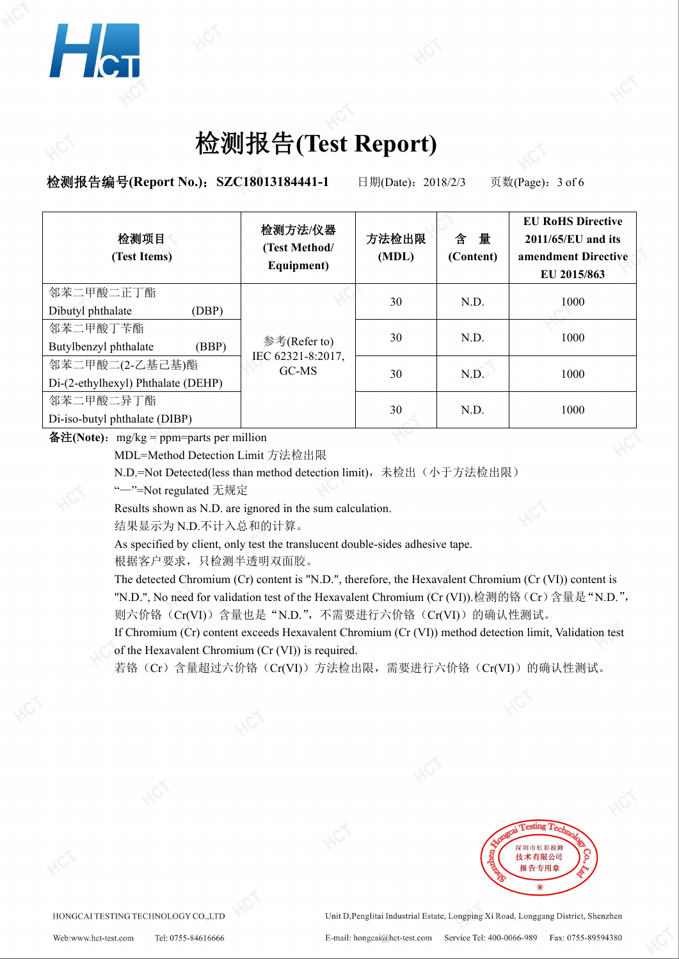

**检测报告编号(Report No.): SZC18013184441-1** 日期(Date): 2018/2/3 页数(Page): 3 of 6

| 检测项目<br>(Test Items)               | 检测方法/仪器<br>(Test Method/<br>Equipment)     | 方法检出限<br>(MDL) | 量<br>含<br>(Content) | <b>EU RoHS Directive</b><br>2011/65/EU and its<br>amendment Directive<br>EU 2015/863 |  |
|------------------------------------|--------------------------------------------|----------------|---------------------|--------------------------------------------------------------------------------------|--|
| 邻苯二甲酸二正丁酯                          | 参考(Refer to)<br>IEC 62321-8:2017,<br>GC-MS | 30             | N.D.                | 1000                                                                                 |  |
| Dibutyl phthalate<br>(DBP)         |                                            |                |                     |                                                                                      |  |
| 邻苯二甲酸丁苄酯                           |                                            |                |                     |                                                                                      |  |
| Butylbenzyl phthalate<br>(BBP)     |                                            | 30             | N.D.                | 1000                                                                                 |  |
| 邻苯二甲酸二(2-乙基己基)酯                    |                                            |                |                     |                                                                                      |  |
| Di-(2-ethylhexyl) Phthalate (DEHP) |                                            | 30             | N.D.                | 1000                                                                                 |  |
| 邻苯二甲酸二异丁酯                          |                                            |                |                     |                                                                                      |  |
| Di-iso-butyl phthalate (DIBP)      |                                            | 30             | N.D.                | 1000                                                                                 |  |

 $\mathbf{\hat{a}}\mathbf{\hat{H}}(\mathbf{Note})$ :  $mg/kg =$  ppm=parts per million

MDL=Method Detection Limit 方法检出限

N.D.=Not Detected(less than method detection limit),未检出(小于方法检出限)

"—"=Not regulated 无规定

Results shown as N.D. are ignored in the sum calculation.

结果显示为 N.D.不计入总和的计算。

As specified by client, only test the translucent double-sides adhesive tape.

根据客户要求,只检测半透明双面胶。

The detected Chromium (Cr) content is "N.D.", therefore, the Hexavalent Chromium (Cr (VI)) content is "N.D.", No need for validation test of the Hexavalent Chromium (Cr (VI)).检测的铬(Cr)含量是"N.D.", 则六价铬(Cr(VI))含量也是"N.D.",不需要进行六价铬(Cr(VI))的确认性测试。

If Chromium (Cr) content exceeds Hexavalent Chromium (Cr (VI)) method detection limit, Validation test of the Hexavalent Chromium (Cr (VI)) is required.

若铬(Cr)含量超过六价铬(Cr(VI))方法检出限,需要进行六价铬(Cr(VI))的确认性测试。



HONGCAI TESTING TECHNOLOGY CO.,LTD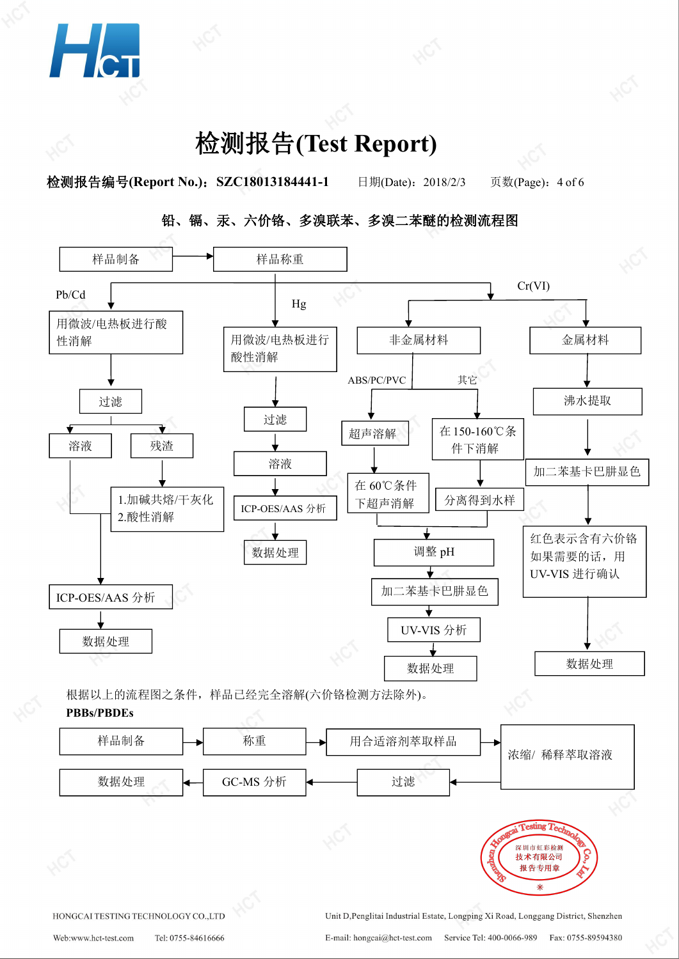

**检测报告编号(Report No.): SZC18013184441-1** 日期(Date): 2018/2/3 页数(Page): 4 of 6





样品制备 → 称重 → 用合适溶剂萃取样品 浓缩/ 稀释萃取溶液 数据处理 → GC-MS 分析 → → 过滤 esting 7 深圳市虹彩检测 技术有限公司 报告专用章 HONGCAI TESTING TECHNOLOGY CO.,LTD Unit D, Penglitai Industrial Estate, Longping Xi Road, Longgang District, Shenzhen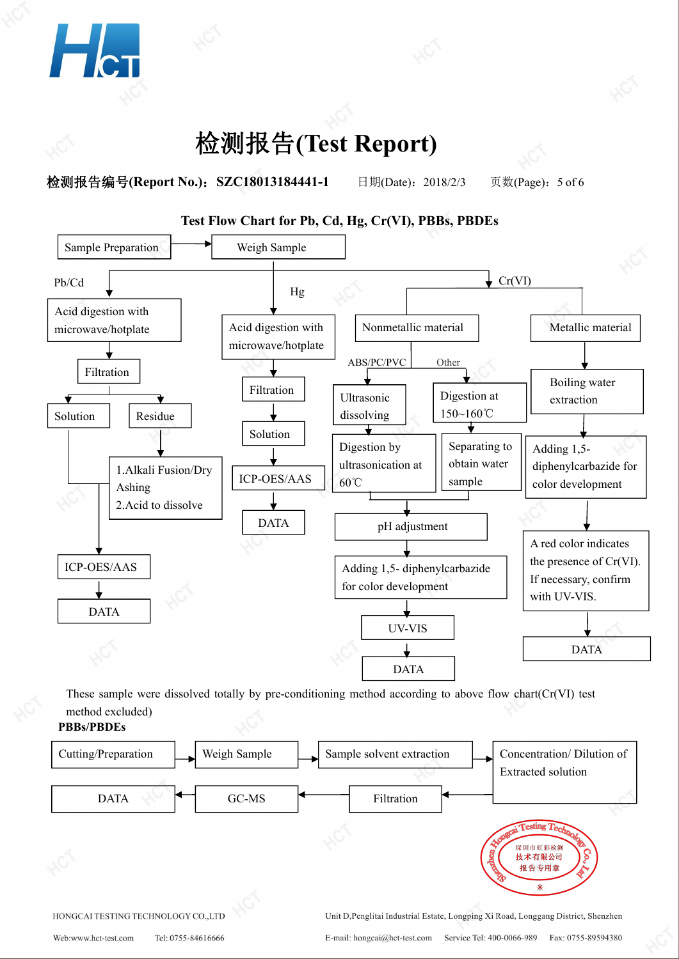

**检测报告编号(Report No.): SZC18013184441-1** 日期(Date): 2018/2/3 页数(Page): 5 of 6



These sample were dissolved totally by pre-conditioning method according to above flow chart(Cr(VI) test method excluded)